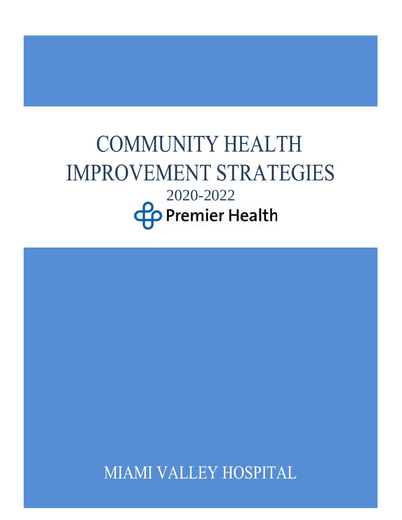# **COMMUNITY HEALTH IMPROVEMENT STRATEGIES** 2020-2022**Co** Premier Health

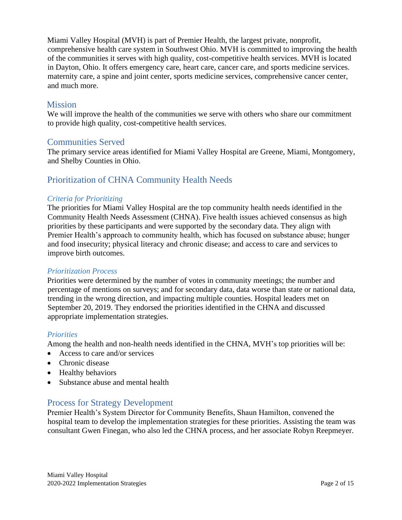Miami Valley Hospital (MVH) is part of Premier Health, the largest private, nonprofit, comprehensive health care system in Southwest Ohio. MVH is committed to improving the health of the communities it serves with high quality, cost-competitive health services. MVH is located in Dayton, Ohio. It offers emergency care, heart care, cancer care, and sports medicine services. maternity care, a spine and joint center, sports medicine services, comprehensive cancer center, and much more.

# **Mission**

We will improve the health of the communities we serve with others who share our commitment to provide high quality, cost-competitive health services.

# Communities Served

The primary service areas identified for Miami Valley Hospital are Greene, Miami, Montgomery, and Shelby Counties in Ohio.

# Prioritization of CHNA Community Health Needs

#### *Criteria for Prioritizing*

The priorities for Miami Valley Hospital are the top community health needs identified in the Community Health Needs Assessment (CHNA). Five health issues achieved consensus as high priorities by these participants and were supported by the secondary data. They align with Premier Health's approach to community health, which has focused on substance abuse; hunger and food insecurity; physical literacy and chronic disease; and access to care and services to improve birth outcomes.

#### *Prioritization Process*

Priorities were determined by the number of votes in community meetings; the number and percentage of mentions on surveys; and for secondary data, data worse than state or national data, trending in the wrong direction, and impacting multiple counties. Hospital leaders met on September 20, 2019. They endorsed the priorities identified in the CHNA and discussed appropriate implementation strategies.

#### *Priorities*

Among the health and non-health needs identified in the CHNA, MVH's top priorities will be:

- Access to care and/or services
- Chronic disease
- Healthy behaviors
- Substance abuse and mental health

# Process for Strategy Development

Premier Health's System Director for Community Benefits, Shaun Hamilton, convened the hospital team to develop the implementation strategies for these priorities. Assisting the team was consultant Gwen Finegan, who also led the CHNA process, and her associate Robyn Reepmeyer.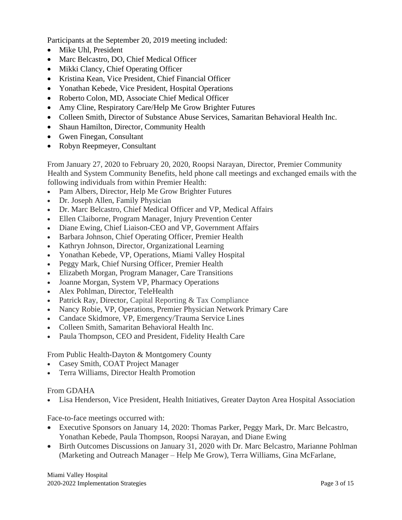Participants at the September 20, 2019 meeting included:

- Mike Uhl, President
- Marc Belcastro, DO, Chief Medical Officer
- Mikki Clancy, Chief Operating Officer
- Kristina Kean, Vice President, Chief Financial Officer
- Yonathan Kebede, Vice President, Hospital Operations
- Roberto Colon, MD, Associate Chief Medical Officer
- Amy Cline, Respiratory Care/Help Me Grow Brighter Futures
- Colleen Smith, Director of Substance Abuse Services, Samaritan Behavioral Health Inc.
- Shaun Hamilton, Director, Community Health
- Gwen Finegan, Consultant
- Robyn Reepmeyer, Consultant

From January 27, 2020 to February 20, 2020, Roopsi Narayan, Director, Premier Community Health and System Community Benefits, held phone call meetings and exchanged emails with the following individuals from within Premier Health:

- Pam Albers, Director, Help Me Grow Brighter Futures
- Dr. Joseph Allen, Family Physician
- Dr. Marc Belcastro, Chief Medical Officer and VP, Medical Affairs
- Ellen Claiborne, Program Manager, Injury Prevention Center
- Diane Ewing, Chief Liaison-CEO and VP, Government Affairs
- Barbara Johnson, Chief Operating Officer, Premier Health
- Kathryn Johnson, Director, Organizational Learning
- Yonathan Kebede, VP, Operations, Miami Valley Hospital
- Peggy Mark, Chief Nursing Officer, Premier Health
- Elizabeth Morgan, Program Manager, Care Transitions
- Joanne Morgan, System VP, Pharmacy Operations
- Alex Pohlman, Director, TeleHealth
- Patrick Ray, Director, Capital Reporting & Tax Compliance
- Nancy Robie, VP, Operations, Premier Physician Network Primary Care
- Candace Skidmore, VP, Emergency/Trauma Service Lines
- Colleen Smith, Samaritan Behavioral Health Inc.
- Paula Thompson, CEO and President, Fidelity Health Care

From Public Health-Dayton & Montgomery County

- Casey Smith, COAT Project Manager
- Terra Williams, Director Health Promotion

# From GDAHA

• Lisa Henderson, Vice President, Health Initiatives, Greater Dayton Area Hospital Association

Face-to-face meetings occurred with:

- Executive Sponsors on January 14, 2020: Thomas Parker, Peggy Mark, Dr. Marc Belcastro, Yonathan Kebede, Paula Thompson, Roopsi Narayan, and Diane Ewing
- Birth Outcomes Discussions on January 31, 2020 with Dr. Marc Belcastro, Marianne Pohlman (Marketing and Outreach Manager – Help Me Grow), Terra Williams, Gina McFarlane,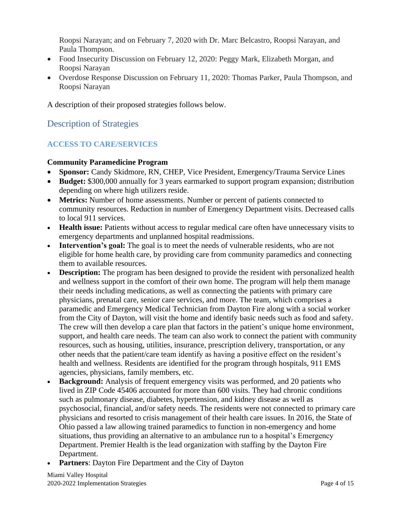Roopsi Narayan; and on February 7, 2020 with Dr. Marc Belcastro, Roopsi Narayan, and Paula Thompson.

- Food Insecurity Discussion on February 12, 2020: Peggy Mark, Elizabeth Morgan, and Roopsi Narayan
- Overdose Response Discussion on February 11, 2020: Thomas Parker, Paula Thompson, and Roopsi Narayan

A description of their proposed strategies follows below.

# Description of Strategies

# **ACCESS TO CARE/SERVICES**

#### **Community Paramedicine Program**

- **Sponsor:** Candy Skidmore, RN, CHEP, Vice President, Emergency/Trauma Service Lines
- **Budget:** \$300,000 annually for 3 years earmarked to support program expansion; distribution depending on where high utilizers reside.
- **Metrics:** Number of home assessments. Number or percent of patients connected to community resources. Reduction in number of Emergency Department visits. Decreased calls to local 911 services.
- **Health issue:** Patients without access to regular medical care often have unnecessary visits to emergency departments and unplanned hospital readmissions.
- Intervention's goal: The goal is to meet the needs of vulnerable residents, who are not eligible for home health care, by providing care from community paramedics and connecting them to available resources.
- **Description:** The program has been designed to provide the resident with personalized health and wellness support in the comfort of their own home. The program will help them manage their needs including medications, as well as connecting the patients with primary care physicians, prenatal care, senior care services, and more. The team, which comprises a paramedic and Emergency Medical Technician from Dayton Fire along with a social worker from the City of Dayton, will visit the home and identify basic needs such as food and safety. The crew will then develop a care plan that factors in the patient's unique home environment, support, and health care needs. The team can also work to connect the patient with community resources, such as housing, utilities, insurance, prescription delivery, transportation, or any other needs that the patient/care team identify as having a positive effect on the resident's health and wellness. Residents are identified for the program through hospitals, 911 EMS agencies, physicians, family members, etc.
- **Background:** Analysis of frequent emergency visits was performed, and 20 patients who lived in ZIP Code 45406 accounted for more than 600 visits. They had chronic conditions such as pulmonary disease, diabetes, hypertension, and kidney disease as well as psychosocial, financial, and/or safety needs. The residents were not connected to primary care physicians and resorted to crisis management of their health care issues. In 2016, the State of Ohio passed a law allowing trained paramedics to function in non-emergency and home situations, thus providing an alternative to an ambulance run to a hospital's Emergency Department. Premier Health is the lead organization with staffing by the Dayton Fire Department.
- **Partners:** Dayton Fire Department and the City of Dayton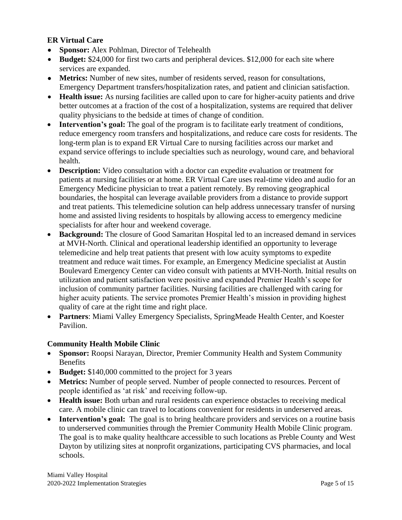# **ER Virtual Care**

- **Sponsor:** Alex Pohlman, Director of Telehealth
- **Budget:** \$24,000 for first two carts and peripheral devices. \$12,000 for each site where services are expanded.
- **Metrics:** Number of new sites, number of residents served, reason for consultations, Emergency Department transfers/hospitalization rates, and patient and clinician satisfaction.
- **Health issue:** As nursing facilities are called upon to care for higher-acuity patients and drive better outcomes at a fraction of the cost of a hospitalization, systems are required that deliver quality physicians to the bedside at times of change of condition.
- **Intervention's goal:** The goal of the program is to facilitate early treatment of conditions, reduce emergency room transfers and hospitalizations, and reduce care costs for residents. The long-term plan is to expand ER Virtual Care to nursing facilities across our market and expand service offerings to include specialties such as neurology, wound care, and behavioral health.
- **Description:** Video consultation with a doctor can expedite evaluation or treatment for patients at nursing facilities or at home. ER Virtual Care uses real-time video and audio for an Emergency Medicine physician to treat a patient remotely. By removing geographical boundaries, the hospital can leverage available providers from a distance to provide support and treat patients. This telemedicine solution can help address unnecessary transfer of nursing home and assisted living residents to hospitals by allowing access to emergency medicine specialists for after hour and weekend coverage.
- **Background:** The closure of Good Samaritan Hospital led to an increased demand in services at MVH-North. Clinical and operational leadership identified an opportunity to leverage telemedicine and help treat patients that present with low acuity symptoms to expedite treatment and reduce wait times. For example, an Emergency Medicine specialist at Austin Boulevard Emergency Center can video consult with patients at MVH-North. Initial results on utilization and patient satisfaction were positive and expanded Premier Health's scope for inclusion of community partner facilities. Nursing facilities are challenged with caring for higher acuity patients. The service promotes Premier Health's mission in providing highest quality of care at the right time and right place.
- **Partners**: Miami Valley Emergency Specialists, SpringMeade Health Center, and Koester Pavilion.

# **Community Health Mobile Clinic**

- **Sponsor:** Roopsi Narayan, Director, Premier Community Health and System Community **Benefits**
- **Budget:** \$140,000 committed to the project for 3 years
- **Metrics:** Number of people served. Number of people connected to resources. Percent of people identified as 'at risk' and receiving follow-up.
- **Health issue:** Both urban and rural residents can experience obstacles to receiving medical care. A mobile clinic can travel to locations convenient for residents in underserved areas.
- **Intervention's goal:** The goal is to bring healthcare providers and services on a routine basis to underserved communities through the Premier Community Health Mobile Clinic program. The goal is to make quality healthcare accessible to such locations as Preble County and West Dayton by utilizing sites at nonprofit organizations, participating CVS pharmacies, and local schools.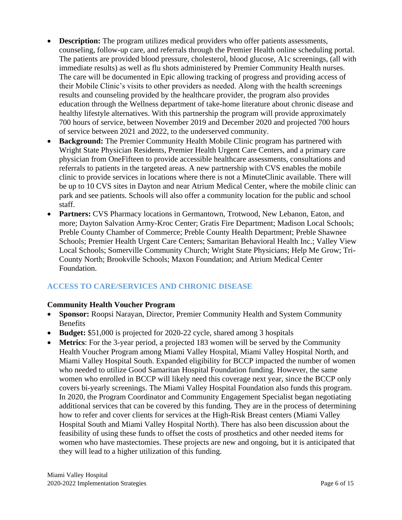- **Description:** The program utilizes medical providers who offer patients assessments, counseling, follow-up care, and referrals through the Premier Health online scheduling portal. The patients are provided blood pressure, cholesterol, blood glucose, A1c screenings, (all with immediate results) as well as flu shots administered by Premier Community Health nurses. The care will be documented in Epic allowing tracking of progress and providing access of their Mobile Clinic's visits to other providers as needed. Along with the health screenings results and counseling provided by the healthcare provider, the program also provides education through the Wellness department of take-home literature about chronic disease and healthy lifestyle alternatives. With this partnership the program will provide approximately 700 hours of service, between November 2019 and December 2020 and projected 700 hours of service between 2021 and 2022, to the underserved community.
- **Background:** The Premier Community Health Mobile Clinic program has partnered with Wright State Physician Residents, Premier Health Urgent Care Centers, and a primary care physician from OneFifteen to provide accessible healthcare assessments, consultations and referrals to patients in the targeted areas. A new partnership with CVS enables the mobile clinic to provide services in locations where there is not a MinuteClinic available. There will be up to 10 CVS sites in Dayton and near Atrium Medical Center, where the mobile clinic can park and see patients. Schools will also offer a community location for the public and school staff.
- **Partners:** CVS Pharmacy locations in Germantown, Trotwood, New Lebanon, Eaton, and more; Dayton Salvation Army-Kroc Center; Gratis Fire Department; Madison Local Schools; Preble County Chamber of Commerce; Preble County Health Department; Preble Shawnee Schools; Premier Health Urgent Care Centers; Samaritan Behavioral Health Inc.; Valley View Local Schools; Somerville Community Church; Wright State Physicians; Help Me Grow; Tri-County North; Brookville Schools; Maxon Foundation; and Atrium Medical Center Foundation.

# **ACCESS TO CARE/SERVICES AND CHRONIC DISEASE**

# **Community Health Voucher Program**

- **Sponsor:** Roopsi Narayan, Director, Premier Community Health and System Community Benefits
- **Budget:** \$51,000 is projected for 2020-22 cycle, shared among 3 hospitals
- **Metrics**: For the 3-year period, a projected 183 women will be served by the Community Health Voucher Program among Miami Valley Hospital, Miami Valley Hospital North, and Miami Valley Hospital South. Expanded eligibility for BCCP impacted the number of women who needed to utilize Good Samaritan Hospital Foundation funding. However, the same women who enrolled in BCCP will likely need this coverage next year, since the BCCP only covers bi-yearly screenings. The Miami Valley Hospital Foundation also funds this program. In 2020, the Program Coordinator and Community Engagement Specialist began negotiating additional services that can be covered by this funding. They are in the process of determining how to refer and cover clients for services at the High-Risk Breast centers (Miami Valley Hospital South and Miami Valley Hospital North). There has also been discussion about the feasibility of using these funds to offset the costs of prosthetics and other needed items for women who have mastectomies. These projects are new and ongoing, but it is anticipated that they will lead to a higher utilization of this funding.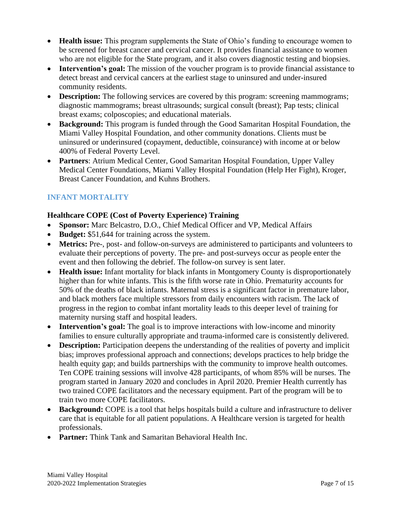- **Health issue:** This program supplements the State of Ohio's funding to encourage women to be screened for breast cancer and cervical cancer. It provides financial assistance to women who are not eligible for the State program, and it also covers diagnostic testing and biopsies.
- **Intervention's goal:** The mission of the voucher program is to provide financial assistance to detect breast and cervical cancers at the earliest stage to uninsured and under-insured community residents.
- **Description:** The following services are covered by this program: screening mammograms; diagnostic mammograms; breast ultrasounds; surgical consult (breast); Pap tests; clinical breast exams; colposcopies; and educational materials.
- **Background:** This program is funded through the Good Samaritan Hospital Foundation, the Miami Valley Hospital Foundation, and other community donations. Clients must be uninsured or underinsured (copayment, deductible, coinsurance) with income at or below 400% of Federal Poverty Level.
- **Partners**: Atrium Medical Center, Good Samaritan Hospital Foundation, Upper Valley Medical Center Foundations, Miami Valley Hospital Foundation (Help Her Fight), Kroger, Breast Cancer Foundation, and Kuhns Brothers.

# **INFANT MORTALITY**

# **Healthcare COPE (Cost of Poverty Experience) Training**

- **Sponsor:** Marc Belcastro, D.O., Chief Medical Officer and VP, Medical Affairs
- **Budget:** \$51,644 for training across the system.
- **Metrics:** Pre-, post- and follow-on-surveys are administered to participants and volunteers to evaluate their perceptions of poverty. The pre- and post-surveys occur as people enter the event and then following the debrief. The follow-on survey is sent later.
- **Health issue:** Infant mortality for black infants in Montgomery County is disproportionately higher than for white infants. This is the fifth worse rate in Ohio. Prematurity accounts for 50% of the deaths of black infants. Maternal stress is a significant factor in premature labor, and black mothers face multiple stressors from daily encounters with racism. The lack of progress in the region to combat infant mortality leads to this deeper level of training for maternity nursing staff and hospital leaders.
- **Intervention's goal:** The goal is to improve interactions with low-income and minority families to ensure culturally appropriate and trauma-informed care is consistently delivered.
- **Description:** Participation deepens the understanding of the realities of poverty and implicit bias; improves professional approach and connections; develops practices to help bridge the health equity gap; and builds partnerships with the community to improve health outcomes. Ten COPE training sessions will involve 428 participants, of whom 85% will be nurses. The program started in January 2020 and concludes in April 2020. Premier Health currently has two trained COPE facilitators and the necessary equipment. Part of the program will be to train two more COPE facilitators.
- **Background:** COPE is a tool that helps hospitals build a culture and infrastructure to deliver care that is equitable for all patient populations. A Healthcare version is targeted for health professionals.
- **Partner:** Think Tank and Samaritan Behavioral Health Inc.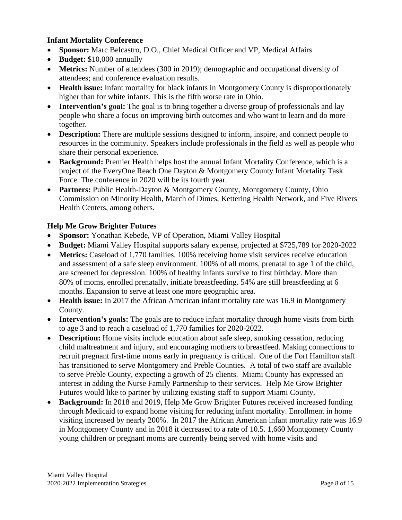### **Infant Mortality Conference**

- **Sponsor:** Marc Belcastro, D.O., Chief Medical Officer and VP, Medical Affairs
- **Budget:** \$10,000 annually
- **Metrics:** Number of attendees (300 in 2019); demographic and occupational diversity of attendees; and conference evaluation results.
- **Health issue:** Infant mortality for black infants in Montgomery County is disproportionately higher than for white infants. This is the fifth worse rate in Ohio.
- **Intervention's goal:** The goal is to bring together a diverse group of professionals and lay people who share a focus on improving birth outcomes and who want to learn and do more together.
- **Description:** There are multiple sessions designed to inform, inspire, and connect people to resources in the community. Speakers include professionals in the field as well as people who share their personal experience.
- **Background:** Premier Health helps host the annual Infant Mortality Conference, which is a project of the EveryOne Reach One Dayton & Montgomery County Infant Mortality Task Force. The conference in 2020 will be its fourth year.
- **Partners:** Public Health-Dayton & Montgomery County, Montgomery County, Ohio Commission on Minority Health, March of Dimes, Kettering Health Network, and Five Rivers Health Centers, among others.

#### **Help Me Grow Brighter Futures**

- **Sponsor:** Yonathan Kebede, VP of Operation, Miami Valley Hospital
- **Budget:** Miami Valley Hospital supports salary expense, projected at \$725,789 for 2020-2022
- **Metrics:** Caseload of 1,770 families. 100% receiving home visit services receive education and assessment of a safe sleep environment. 100% of all moms, prenatal to age 1 of the child, are screened for depression. 100% of healthy infants survive to first birthday. More than 80% of moms, enrolled prenatally, initiate breastfeeding. 54% are still breastfeeding at 6 months. Expansion to serve at least one more geographic area.
- **Health issue:** In 2017 the African American infant mortality rate was 16.9 in Montgomery County.
- **Intervention's goals:** The goals are to reduce infant mortality through home visits from birth to age 3 and to reach a caseload of 1,770 families for 2020-2022.
- **Description:** Home visits include education about safe sleep, smoking cessation, reducing child maltreatment and injury, and encouraging mothers to breastfeed. Making connections to recruit pregnant first-time moms early in pregnancy is critical. One of the Fort Hamilton staff has transitioned to serve Montgomery and Preble Counties. A total of two staff are available to serve Preble County, expecting a growth of 25 clients. Miami County has expressed an interest in adding the Nurse Family Partnership to their services. Help Me Grow Brighter Futures would like to partner by utilizing existing staff to support Miami County.
- **Background:** In 2018 and 2019, Help Me Grow Brighter Futures received increased funding through Medicaid to expand home visiting for reducing infant mortality. Enrollment in home visiting increased by nearly 200%. In 2017 the African American infant mortality rate was 16.9 in Montgomery County and in 2018 it decreased to a rate of 10.5. 1,660 Montgomery County young children or pregnant moms are currently being served with home visits and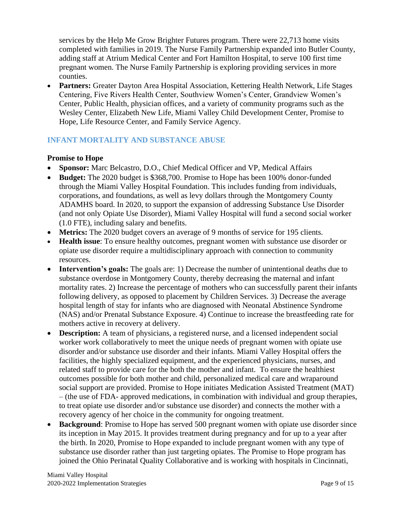services by the Help Me Grow Brighter Futures program. There were 22,713 home visits completed with families in 2019. The Nurse Family Partnership expanded into Butler County, adding staff at Atrium Medical Center and Fort Hamilton Hospital, to serve 100 first time pregnant women. The Nurse Family Partnership is exploring providing services in more counties.

• **Partners:** Greater Dayton Area Hospital Association, Kettering Health Network, Life Stages Centering, Five Rivers Health Center, Southview Women's Center, Grandview Women's Center, Public Health, physician offices, and a variety of community programs such as the Wesley Center, Elizabeth New Life, Miami Valley Child Development Center, Promise to Hope, Life Resource Center, and Family Service Agency.

# **INFANT MORTALITY AND SUBSTANCE ABUSE**

#### **Promise to Hope**

- **Sponsor:** Marc Belcastro, D.O., Chief Medical Officer and VP, Medical Affairs
- **Budget:** The 2020 budget is \$368,700. Promise to Hope has been 100% donor-funded through the Miami Valley Hospital Foundation. This includes funding from individuals, corporations, and foundations, as well as levy dollars through the Montgomery County ADAMHS board. In 2020, to support the expansion of addressing Substance Use Disorder (and not only Opiate Use Disorder), Miami Valley Hospital will fund a second social worker (1.0 FTE), including salary and benefits.
- **Metrics:** The 2020 budget covers an average of 9 months of service for 195 clients.
- **Health issue**: To ensure healthy outcomes, pregnant women with substance use disorder or opiate use disorder require a multidisciplinary approach with connection to community resources.
- **Intervention's goals:** The goals are: 1) Decrease the number of unintentional deaths due to substance overdose in Montgomery County, thereby decreasing the maternal and infant mortality rates. 2) Increase the percentage of mothers who can successfully parent their infants following delivery, as opposed to placement by Children Services. 3) Decrease the average hospital length of stay for infants who are diagnosed with Neonatal Abstinence Syndrome (NAS) and/or Prenatal Substance Exposure. 4) Continue to increase the breastfeeding rate for mothers active in recovery at delivery.
- **Description:** A team of physicians, a registered nurse, and a licensed independent social worker work collaboratively to meet the unique needs of pregnant women with opiate use disorder and/or substance use disorder and their infants. Miami Valley Hospital offers the facilities, the highly specialized equipment, and the experienced physicians, nurses, and related staff to provide care for the both the mother and infant. To ensure the healthiest outcomes possible for both mother and child, personalized medical care and wraparound social support are provided. Promise to Hope initiates Medication Assisted Treatment (MAT) – (the use of FDA- approved medications, in combination with individual and group therapies, to treat opiate use disorder and/or substance use disorder) and connects the mother with a recovery agency of her choice in the community for ongoing treatment.
- **Background**: Promise to Hope has served 500 pregnant women with opiate use disorder since its inception in May 2015. It provides treatment during pregnancy and for up to a year after the birth. In 2020, Promise to Hope expanded to include pregnant women with any type of substance use disorder rather than just targeting opiates. The Promise to Hope program has joined the Ohio Perinatal Quality Collaborative and is working with hospitals in Cincinnati,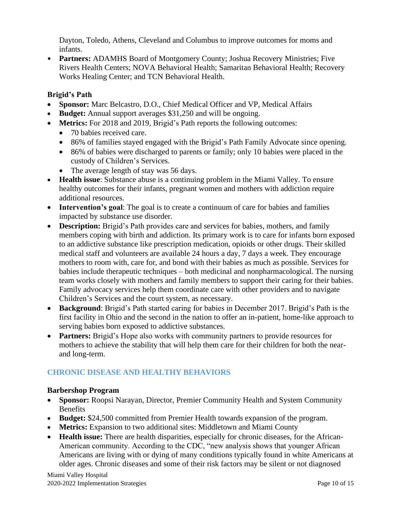Dayton, Toledo, Athens, Cleveland and Columbus to improve outcomes for moms and infants.

• **Partners:** ADAMHS Board of Montgomery County; Joshua Recovery Ministries; Five Rivers Health Centers; NOVA Behavioral Health; Samaritan Behavioral Health; Recovery Works Healing Center; and TCN Behavioral Health.

# **Brigid's Path**

- **Sponsor:** Marc Belcastro, D.O., Chief Medical Officer and VP, Medical Affairs
- **Budget:** Annual support averages \$31,250 and will be ongoing.
- **Metrics:** For 2018 and 2019, Brigid's Path reports the following outcomes:
	- 70 babies received care.
	- 86% of families stayed engaged with the Brigid's Path Family Advocate since opening.
	- 86% of babies were discharged to parents or family; only 10 babies were placed in the custody of Children's Services.
	- The average length of stay was 56 days.
- **Health issue**: Substance abuse is a continuing problem in the Miami Valley. To ensure healthy outcomes for their infants, pregnant women and mothers with addiction require additional resources.
- **Intervention's goal**: The goal is to create a continuum of care for babies and families impacted by substance use disorder.
- **Description:** Brigid's Path provides care and services for babies, mothers, and family members coping with birth and addiction. Its primary work is to care for infants born exposed to an addictive substance like prescription medication, opioids or other drugs. Their skilled medical staff and [volunteers](https://brigidspath.org/contribute/volunteer/) are available 24 hours a day, 7 days a week. They encourage mothers to room with, care for, and bond with their babies as much as possible. Services for babies include therapeutic techniques – both medicinal and nonpharmacological. The nursing team works closely with mothers and family members to support their caring for their babies. Family advocacy services help them coordinate care with other providers and to navigate Children's Services and the court system, as necessary.
- **Background**: Brigid's Path started caring for babies in December 2017. Brigid's Path is the first facility in Ohio and the second in the nation to offer an in-patient, home-like approach to serving babies born exposed to addictive substances.
- **Partners:** Brigid's Hope also works with community partners to [provide resources](https://brigidspath.org/moms-and-families/) for mothers to achieve the stability that will help them care for their children for both the nearand long-term.

# **CHRONIC DISEASE AND HEALTHY BEHAVIORS**

# **Barbershop Program**

- **Sponsor:** Roopsi Narayan, Director, Premier Community Health and System Community Benefits
- **Budget:** \$24,500 committed from Premier Health towards expansion of the program.
- **Metrics:** Expansion to two additional sites: Middletown and Miami County
- **Health issue:** There are health disparities, especially for chronic diseases, for the African-American community. According to the CDC, "new analysis shows that younger African Americans are living with or dying of many conditions typically found in white Americans at older ages. Chronic diseases and some of their risk factors may be silent or not diagnosed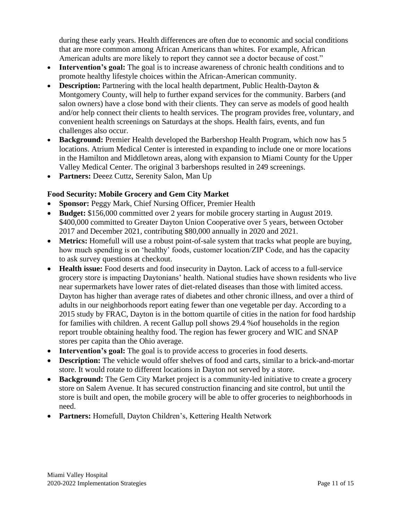during these early years. Health differences are often due to economic and social conditions that are more common among African Americans than whites. For example, African American adults are more likely to report they cannot see a doctor because of cost."

- **Intervention's goal:** The goal is to increase awareness of chronic health conditions and to promote healthy lifestyle choices within the African-American community.
- **Description:** Partnering with the local health department, Public Health-Dayton & Montgomery County, will help to further expand services for the community. Barbers (and salon owners) have a close bond with their clients. They can serve as models of good health and/or help connect their clients to health services. The program provides free, voluntary, and convenient health screenings on Saturdays at the shops. Health fairs, events, and fun challenges also occur.
- **Background:** Premier Health developed the Barbershop Health Program, which now has 5 locations. Atrium Medical Center is interested in expanding to include one or more locations in the Hamilton and Middletown areas, along with expansion to Miami County for the Upper Valley Medical Center. The original 3 barbershops resulted in 249 screenings.
- **Partners:** Deeez Cuttz, Serenity Salon, Man Up

# **Food Security: Mobile Grocery and Gem City Market**

- **Sponsor:** Peggy Mark, Chief Nursing Officer, Premier Health
- **Budget:** \$156,000 committed over 2 years for mobile grocery starting in August 2019. \$400,000 committed to Greater Dayton Union Cooperative over 5 years, between October 2017 and December 2021, contributing \$80,000 annually in 2020 and 2021.
- **Metrics:** Homefull will use a robust point-of-sale system that tracks what people are buying, how much spending is on 'healthy' foods, customer location/ZIP Code, and has the capacity to ask survey questions at checkout.
- **Health issue:** Food deserts and food insecurity in Dayton. Lack of access to a full-service grocery store is impacting Daytonians' health. National studies have shown residents who live near supermarkets have lower rates of diet-related diseases than those with limited access. Dayton has higher than average rates of diabetes and other chronic illness, and over a third of adults in our neighborhoods report eating fewer than one vegetable per day. According to a 2015 study by FRAC, Dayton is in the bottom quartile of cities in the nation for food hardship for families with children. A recent Gallup poll shows 29.4 %of households in the region report trouble obtaining healthy food. The region has fewer grocery and WIC and SNAP stores per capita than the Ohio average.
- **Intervention's goal:** The goal is to provide access to groceries in food deserts.
- **Description:** The vehicle would offer shelves of food and carts, similar to a brick-and-mortar store. It would rotate to different locations in Dayton not served by a store.
- **Background:** The Gem City Market project is a community-led initiative to create a grocery store on Salem Avenue. It has secured construction financing and site control, but until the store is built and open, the mobile grocery will be able to offer groceries to neighborhoods in need.
- **Partners:** Homefull, Dayton Children's, Kettering Health Network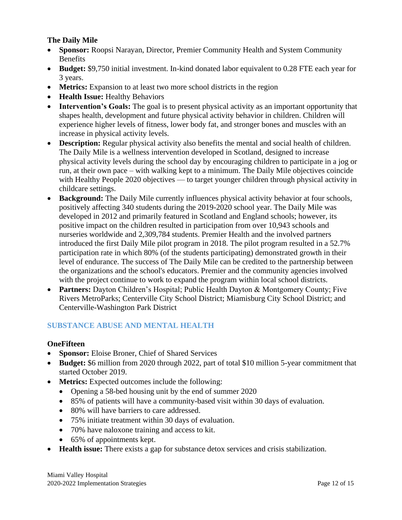# **The Daily Mile**

- **Sponsor:** Roopsi Narayan, Director, Premier Community Health and System Community Benefits
- **Budget:** \$9,750 initial investment. In-kind donated labor equivalent to 0.28 FTE each year for 3 years.
- **Metrics:** Expansion to at least two more school districts in the region
- **Health Issue:** Healthy Behaviors
- **Intervention's Goals:** The goal is to present physical activity as an important opportunity that shapes health, development and future physical activity behavior in children. Children will experience higher levels of fitness, lower body fat, and stronger bones and muscles with an increase in physical activity levels.
- **Description:** Regular physical activity also benefits the mental and social health of children. The Daily Mile is a wellness intervention developed in Scotland, designed to increase physical activity levels during the school day by encouraging children to participate in a jog or run, at their own pace – with walking kept to a minimum. The Daily Mile objectives coincide with Healthy People 2020 objectives — to target younger children through physical activity in childcare settings.
- **Background:** The Daily Mile currently influences physical activity behavior at four schools, positively affecting 340 students during the 2019-2020 school year. The Daily Mile was developed in 2012 and primarily featured in Scotland and England schools; however, its positive impact on the children resulted in participation from over 10,943 schools and nurseries worldwide and 2,309,784 students. Premier Health and the involved partners introduced the first Daily Mile pilot program in 2018. The pilot program resulted in a 52.7% participation rate in which 80% (of the students participating) demonstrated growth in their level of endurance. The success of The Daily Mile can be credited to the partnership between the organizations and the school's educators. Premier and the community agencies involved with the project continue to work to expand the program within local school districts.
- **Partners:** Dayton Children's Hospital; Public Health Dayton & Montgomery County; Five Rivers MetroParks; Centerville City School District; Miamisburg City School District; and Centerville-Washington Park District

# **SUBSTANCE ABUSE AND MENTAL HEALTH**

#### **OneFifteen**

- **Sponsor:** Eloise Broner, Chief of Shared Services
- **Budget:** \$6 million from 2020 through 2022, part of total \$10 million 5-year commitment that started October 2019.
- **Metrics:** Expected outcomes include the following:
	- Opening a 58-bed housing unit by the end of summer 2020
	- 85% of patients will have a community-based visit within 30 days of evaluation.
	- 80% will have barriers to care addressed.
	- 75% initiate treatment within 30 days of evaluation.
	- 70% have naloxone training and access to kit.
	- 65% of appointments kept.
- **Health issue:** There exists a gap for substance detox services and crisis stabilization.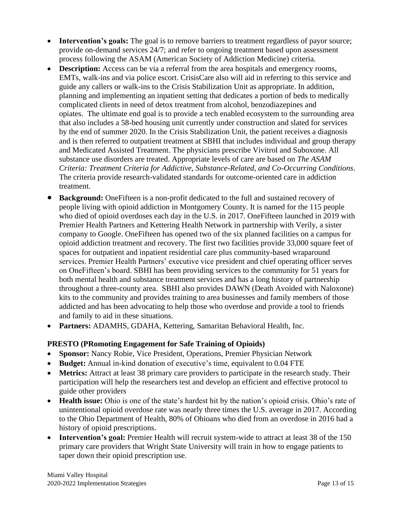- **Intervention's goals:** The goal is to remove barriers to treatment regardless of payor source; provide on-demand services 24/7; and refer to ongoing treatment based upon assessment process following the ASAM (American Society of Addiction Medicine) criteria.
- **Description:** Access can be via a referral from the area hospitals and emergency rooms, EMTs, walk-ins and via police escort. CrisisCare also will aid in referring to this service and guide any callers or walk-ins to the Crisis Stabilization Unit as appropriate. In addition, planning and implementing an inpatient setting that dedicates a portion of beds to medically complicated clients in need of detox treatment from alcohol, benzodiazepines and opiates. The ultimate end goal is to provide a tech enabled ecosystem to the surrounding area that also includes a 58-bed housing unit currently under construction and slated for services by the end of summer 2020. In the Crisis Stabilization Unit, the patient receives a diagnosis and is then referred to outpatient treatment at SBHI that includes individual and group therapy and Medicated Assisted Treatment. The physicians prescribe Vivitrol and Suboxone. All substance use disorders are treated. Appropriate levels of care are based on *The ASAM Criteria: Treatment Criteria for Addictive, Substance-Related, and Co-Occurring Conditions*. The criteria provide research-validated standards for outcome-oriented care in addiction treatment.
- **Background:** OneFifteen is a non-profit dedicated to the full and sustained recovery of people living with opioid addiction in Montgomery County. It is named for the 115 people who died of opioid overdoses each day in the U.S. in 2017. OneFifteen launched in 2019 with Premier Health Partners and Kettering Health Network in partnership with Verily, a sister company to Google. OneFifteen has [opened](https://www.prnewswire.com/news-releases/onefifteen-opens-the-first-of-its-state-of-the-art-facilities-for-the-treatment-of-opioid-use-disorder-in-dayton-ohio-300867527.html) two of the six planned facilities on a campus for opioid addiction treatment and recovery. The first two facilities provide 33,000 square feet of spaces for outpatient and inpatient residential care plus community-based wraparound services. Premier Health Partners' executive vice president and chief operating officer serves on OneFifteen's board. SBHI has been providing services to the community for 51 years for both mental health and substance treatment services and has a long history of partnership throughout a three-county area. SBHI also provides DAWN (Death Avoided with Naloxone) kits to the community and provides training to area businesses and family members of those addicted and has been advocating to help those who overdose and provide a tool to friends and family to aid in these situations.
- **Partners:** ADAMHS, GDAHA, Kettering, Samaritan Behavioral Health, Inc.

# **PRESTO (PRomoting Engagement for Safe Training of Opioids)**

- **Sponsor:** Nancy Robie, Vice President, Operations, Premier Physician Network
- **Budget:** Annual in-kind donation of executive's time, equivalent to 0.04 FTE
- **Metrics:** Attract at least 38 primary care providers to participate in the research study. Their participation will help the researchers test and develop an efficient and effective protocol to guide other providers
- **Health issue:** Ohio is one of the state's hardest hit by the nation's opioid crisis. Ohio's rate of unintentional opioid overdose rate was nearly three times the U.S. average in 2017. According to the Ohio Department of Health, 80% of Ohioans who died from an overdose in 2016 had a history of opioid prescriptions.
- **Intervention's goal:** Premier Health will recruit system-wide to attract at least 38 of the 150 primary care providers that Wright State University will train in how to engage patients to taper down their opioid prescription use.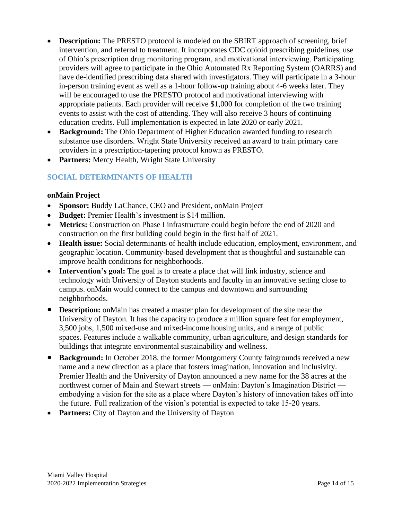- **Description:** The PRESTO protocol is modeled on the SBIRT approach of screening, brief intervention, and referral to treatment. It incorporates CDC opioid prescribing guidelines, use of Ohio's prescription drug monitoring program, and motivational interviewing. Participating providers will agree to participate in the Ohio Automated Rx Reporting System (OARRS) and have de-identified prescribing data shared with investigators. They will participate in a 3-hour in-person training event as well as a 1-hour follow-up training about 4-6 weeks later. They will be encouraged to use the PRESTO protocol and motivational interviewing with appropriate patients. Each provider will receive \$1,000 for completion of the two training events to assist with the cost of attending. They will also receive 3 hours of continuing education credits. Full implementation is expected in late 2020 or early 2021.
- **Background:** The Ohio Department of Higher Education awarded funding to research substance use disorders. Wright State University received an award to train primary care providers in a prescription-tapering protocol known as PRESTO.
- **Partners:** Mercy Health, Wright State University

# **SOCIAL DETERMINANTS OF HEALTH**

#### **onMain Project**

- **Sponsor:** Buddy LaChance, CEO and President, onMain Project
- **Budget:** Premier Health's investment is \$14 million.
- Metrics: Construction on Phase I infrastructure could begin before the end of 2020 and construction on the first building could begin in the first half of 2021.
- **Health issue:** Social determinants of health include education, employment, environment, and geographic location. Community-based development that is thoughtful and sustainable can improve health conditions for neighborhoods.
- Intervention's goal: The goal is to create a place that will link industry, science and technology with University of Dayton students and faculty in an innovative setting close to campus. onMain would connect to the campus and downtown and surrounding neighborhoods.
- **Description:** on Main has created a master plan for development of the site near the University of Dayton. It has the capacity to produce a million square feet for employment, 3,500 jobs, 1,500 mixed-use and mixed-income housing units, and a range of public spaces. Features include a walkable community, urban agriculture, and design standards for buildings that integrate environmental sustainability and wellness.
- **Background:** In October 2018, the former Montgomery County fairgrounds received a new name and a new direction as a place that fosters imagination, innovation and inclusivity. Premier Health and the University of Dayton announced a new name for the 38 acres at the northwest corner of Main and Stewart streets — onMain: Dayton's Imagination District embodying a vision for the site as a place where Dayton's history of innovation takes off into the future. Full realization of the vision's potential is expected to take 15-20 years.
- **Partners:** City of Dayton and the University of Dayton